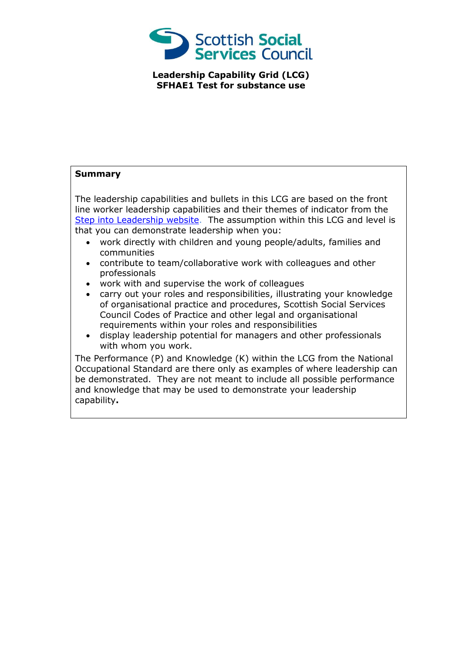

**Leadership Capability Grid (LCG) SFHAE1 Test for substance use**

## **Summary**

The leadership capabilities and bullets in this LCG are based on the front line worker leadership capabilities and their themes of indicator from the [Step into Leadership website.](http://www.stepintoleadership.info/) The assumption within this LCG and level is that you can demonstrate leadership when you:

- work directly with children and young people/adults, families and communities
- contribute to team/collaborative work with colleagues and other professionals
- work with and supervise the work of colleagues
- carry out your roles and responsibilities, illustrating your knowledge of organisational practice and procedures, Scottish Social Services Council Codes of Practice and other legal and organisational requirements within your roles and responsibilities
- display leadership potential for managers and other professionals with whom you work.

The Performance (P) and Knowledge (K) within the LCG from the National Occupational Standard are there only as examples of where leadership can be demonstrated. They are not meant to include all possible performance and knowledge that may be used to demonstrate your leadership capability**.**